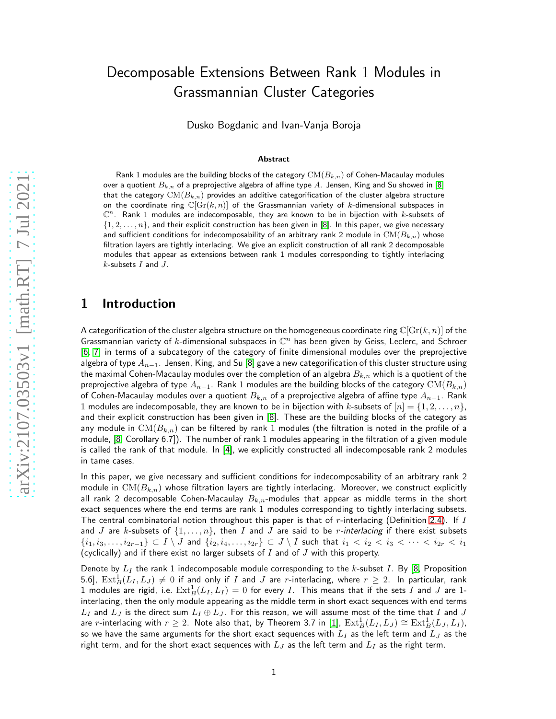# Decomposable Extensions Between Rank 1 Modules in Grassmannian Cluster Categories

Dusko Bogdanic and Ivan-Vanja Boroja

#### Abstract

Rank 1 modules are the building blocks of the category  $\text{CM}(B_{k,n})$  of Cohen-Macaulay modules over a quotient  $B_{k,n}$  of a preprojective algebra of affine type A. Jensen, King and Su showed in [\[8\]](#page-13-0) that the category  $CM(B_{k,n})$  provides an additive categorification of the cluster algebra structure on the coordinate ring  $\mathbb{C}[{\rm Gr}(k,n)]$  of the Grassmannian variety of k-dimensional subspaces in  $\mathbb{C}^n$ . Rank 1 modules are indecomposable, they are known to be in bijection with k-subsets of  $\{1, 2, \ldots, n\}$ , and their explicit construction has been given in [\[8\]](#page-13-0). In this paper, we give necessary and sufficient conditions for indecomposability of an arbitrary rank 2 module in  $CM(B_{k,n})$  whose filtration layers are tightly interlacing. We give an explicit construction of all rank 2 decomposable modules that appear as extensions between rank 1 modules corresponding to tightly interlacing  $k$ -subsets  $I$  and  $J$ .

#### 1 Introduction

A categorification of the cluster algebra structure on the homogeneous coordinate ring  $\mathbb{C}[\text{Gr}(k,n)]$  of the Grassmannian variety of k-dimensional subspaces in  $\mathbb{C}^n$  has been given by Geiss, Leclerc, and Schroer [\[6,](#page-13-1) [7\]](#page-13-2) in terms of a subcategory of the category of finite dimensional modules over the preprojective algebra of type  $A_{n-1}$ . Jensen, King, and Su [\[8\]](#page-13-0) gave a new categorification of this cluster structure using the maximal Cohen-Macaulay modules over the completion of an algebra  $B_{k,n}$  which is a quotient of the preprojective algebra of type  $A_{n-1}$ . Rank 1 modules are the building blocks of the category CM( $B_{k,n}$ ) of Cohen-Macaulay modules over a quotient  $B_{k,n}$  of a preprojective algebra of affine type  $A_{n-1}$ . Rank 1 modules are indecomposable, they are known to be in bijection with k-subsets of  $[n] = \{1, 2, \ldots, n\}$ , and their explicit construction has been given in [\[8\]](#page-13-0). These are the building blocks of the category as any module in  $CM(B_{k,n})$  can be filtered by rank 1 modules (the filtration is noted in the profile of a module, [\[8,](#page-13-0) Corollary 6.7]). The number of rank 1 modules appearing in the filtration of a given module is called the rank of that module. In [\[4\]](#page-13-3), we explicitly constructed all indecomposable rank 2 modules in tame cases.

In this paper, we give necessary and sufficient conditions for indecomposability of an arbitrary rank 2 module in  $CM(B_{k,n})$  whose filtration layers are tightly interlacing. Moreover, we construct explicitly all rank 2 decomposable Cohen-Macaulay  $B_{k,n}$ -modules that appear as middle terms in the short exact sequences where the end terms are rank 1 modules corresponding to tightly interlacing subsets. The central combinatorial notion throughout this paper is that of r-interlacing (Definition [2.4\)](#page-2-0). If I and J are k-subsets of  $\{1, \ldots, n\}$ , then I and J are said to be *r*-interlacing if there exist subsets  $\{i_1,i_3,\ldots,i_{2r-1}\}\subset I\setminus J$  and  $\{i_2,i_4,\ldots,i_{2r}\}\subset J\setminus I$  such that  $i_1 < i_2 < i_3 < \cdots < i_{2r} < i_1$ (cyclically) and if there exist no larger subsets of  $I$  and of  $J$  with this property.

Denote by  $L_I$  the rank 1 indecomposable module corresponding to the k-subset I. By [\[8,](#page-13-0) Proposition 5.6],  $\mathrm{Ext}^1_B(L_I,L_J) \neq 0$  if and only if  $I$  and  $J$  are r-interlacing, where  $r \geq 2$ . In particular, rank 1 modules are rigid, i.e.  $\mathrm{Ext}^1_B(L_I,L_I)=0$  for every I. This means that if the sets I and J are 1interlacing, then the only module appearing as the middle term in short exact sequences with end terms  $L_I$  and  $L_J$  is the direct sum  $L_I \oplus L_J$ . For this reason, we will assume most of the time that  $I$  and  $J$ are  $r$ -interlacing with  $r\geq 2$ . Note also that, by Theorem 3.7 in [\[1\]](#page-13-4),  $\mathrm{Ext}^1_B(L_I,L_J)\cong \mathrm{Ext}^1_B(L_J,L_I),$ so we have the same arguments for the short exact sequences with  $L_I$  as the left term and  $L_J$  as the right term, and for the short exact sequences with  $L_J$  as the left term and  $L_I$  as the right term.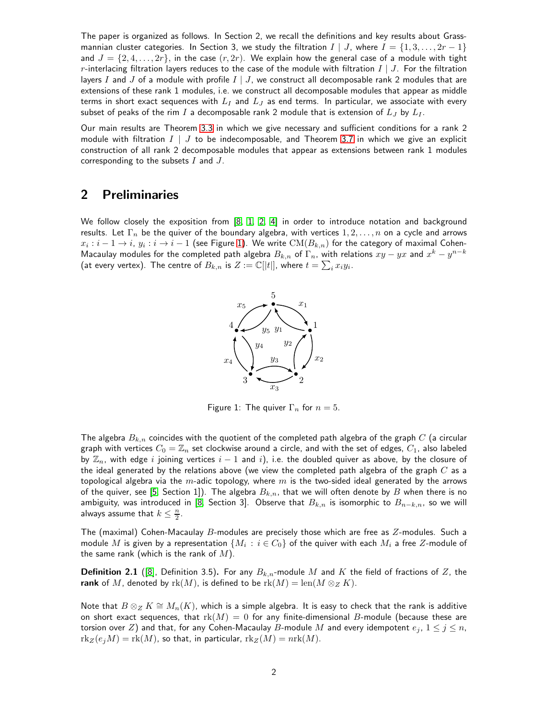The paper is organized as follows. In Section 2, we recall the definitions and key results about Grassmannian cluster categories. In Section 3, we study the filtration  $I \mid J$ , where  $I = \{1, 3, ..., 2r - 1\}$ and  $J = \{2, 4, \ldots, 2r\}$ , in the case  $(r, 2r)$ . We explain how the general case of a module with tight r-interlacing filtration layers reduces to the case of the module with filtration  $I \mid J$ . For the filtration layers I and J of a module with profile  $I \mid J$ , we construct all decomposable rank 2 modules that are extensions of these rank 1 modules, i.e. we construct all decomposable modules that appear as middle terms in short exact sequences with  $L_I$  and  $L_J$  as end terms. In particular, we associate with every subset of peaks of the rim I a decomposable rank 2 module that is extension of  $L_J$  by  $L_I$ .

Our main results are Theorem [3.3](#page-6-0) in which we give necessary and sufficient conditions for a rank 2 module with filtration  $I \mid J$  to be indecomposable, and Theorem [3.7](#page-10-0) in which we give an explicit construction of all rank 2 decomposable modules that appear as extensions between rank 1 modules corresponding to the subsets  $I$  and  $J$ .

## 2 Preliminaries

<span id="page-1-0"></span>We follow closely the exposition from [\[8,](#page-13-0) [1,](#page-13-4) [2,](#page-13-5) [4\]](#page-13-3) in order to introduce notation and background results. Let  $\Gamma_n$  be the quiver of the boundary algebra, with vertices  $1, 2, \ldots, n$  on a cycle and arrows  $x_i:i-1\to i,\, y_i:i\to i-1$  (see Figure [1\)](#page-1-0). We write  $\text{CM}(B_{k,n})$  for the category of maximal Cohen-Macaulay modules for the completed path algebra  $B_{k,n}$  of  $\Gamma_n$ , with relations  $xy-yx$  and  $x^k-y^{n-k}$ (at every vertex). The centre of  $B_{k,n}$  is  $Z:=\mathbb{C}[[t]]$ , where  $t=\sum_i x_i y_i.$ 



Figure 1: The quiver  $\Gamma_n$  for  $n = 5$ .

The algebra  $B_{k,n}$  coincides with the quotient of the completed path algebra of the graph  $C$  (a circular graph with vertices  $C_0 = \mathbb{Z}_n$  set clockwise around a circle, and with the set of edges,  $C_1$ , also labeled by  $\mathbb{Z}_n$ , with edge i joining vertices  $i - 1$  and i), i.e. the doubled quiver as above, by the closure of the ideal generated by the relations above (we view the completed path algebra of the graph  $C$  as a topological algebra via the m-adic topology, where m is the two-sided ideal generated by the arrows of the quiver, see [\[5,](#page-13-6) Section 1]). The algebra  $B_{k,n}$ , that we will often denote by B when there is no ambiguity, was introduced in [\[8,](#page-13-0) Section 3]. Observe that  $B_{k,n}$  is isomorphic to  $B_{n-k,n}$ , so we will always assume that  $k \leq \frac{n}{2}$ .

The (maximal) Cohen-Macaulay  $B$ -modules are precisely those which are free as  $Z$ -modules. Such a module  $M$  is given by a representation  $\{M_i\,:\,i\in C_0\}$  of the quiver with each  $M_i$  a free  $Z$ -module of the same rank (which is the rank of  $M$ ).

**Definition 2.1** ([\[8\]](#page-13-0), Definition 3.5). For any  $B_{k,n}$ -module M and K the field of fractions of Z, the rank of M, denoted by  $rk(M)$ , is defined to be  $rk(M) = \text{len}(M \otimes_Z K)$ .

Note that  $B \otimes_Z K \cong M_n(K)$ , which is a simple algebra. It is easy to check that the rank is additive on short exact sequences, that  $rk(M) = 0$  for any finite-dimensional B-module (because these are torsion over Z) and that, for any Cohen-Macaulay B-module M and every idempotent  $e_j$ ,  $1 \leq j \leq n$ ,  $rk_Z(e_iM) = rk(M)$ , so that, in particular,  $rk_Z(M) = nrk(M)$ .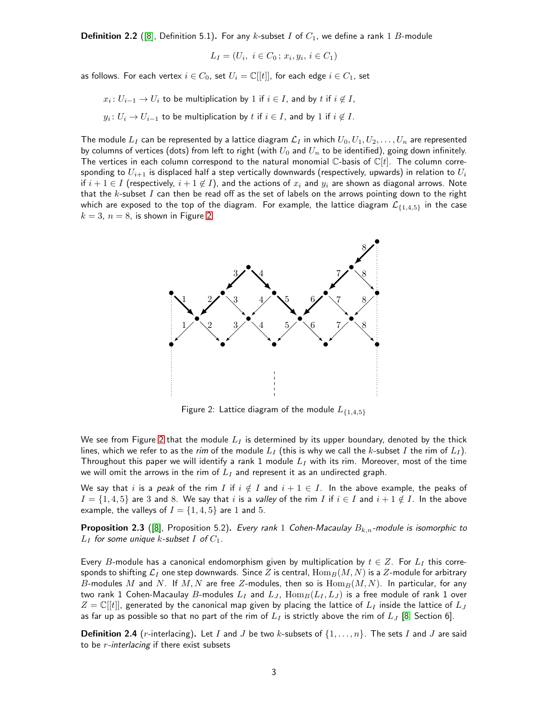**Definition 2.2** ([\[8\]](#page-13-0), Definition 5.1). For any k-subset I of  $C_1$ , we define a rank 1 B-module

$$
L_I = (U_i, i \in C_0; x_i, y_i, i \in C_1)
$$

as follows. For each vertex  $i \in C_0$ , set  $U_i = \mathbb{C}[[t]]$ , for each edge  $i \in C_1$ , set

$$
x_i: U_{i-1} \to U_i
$$
 to be multiplication by 1 if  $i \in I$ , and by t if  $i \notin I$ ,

 $y_i\colon U_i\to U_{i-1}$  to be multiplication by  $t$  if  $i\in I$ , and by  $1$  if  $i\not\in I$ .

The module  $L_I$  can be represented by a lattice diagram  $\mathcal{L}_I$  in which  $U_0, U_1, U_2, \ldots, U_n$  are represented by columns of vertices (dots) from left to right (with  $U_0$  and  $U_n$  to be identified), going down infinitely. The vertices in each column correspond to the natural monomial  $\mathbb{C}$ -basis of  $\mathbb{C}[t]$ . The column corresponding to  $U_{i+1}$  is displaced half a step vertically downwards (respectively, upwards) in relation to  $U_i$ if  $i + 1 \in I$  (respectively,  $i + 1 \notin I$ ), and the actions of  $x_i$  and  $y_i$  are shown as diagonal arrows. Note that the  $k$ -subset  $I$  can then be read off as the set of labels on the arrows pointing down to the right which are exposed to the top of the diagram. For example, the lattice diagram  $\mathcal{L}_{\{1,4,5\}}$  in the case  $k = 3$ ,  $n = 8$ , is shown in Figure [2.](#page-2-1)

<span id="page-2-1"></span>

Figure 2: Lattice diagram of the module  $L_{\{1,4,5\}}$ 

We see from Figure [2](#page-2-1) that the module  $L<sub>I</sub>$  is determined by its upper boundary, denoted by the thick lines, which we refer to as the *rim* of the module  $L<sub>I</sub>$  (this is why we call the k-subset I the rim of  $L<sub>I</sub>$ ). Throughout this paper we will identify a rank 1 module  $L_I$  with its rim. Moreover, most of the time we will omit the arrows in the rim of  $L_I$  and represent it as an undirected graph.

We say that i is a *peak* of the rim I if  $i \notin I$  and  $i + 1 \in I$ . In the above example, the peaks of  $I = \{1, 4, 5\}$  are 3 and 8. We say that i is a *valley* of the rim I if  $i \in I$  and  $i + 1 \notin I$ . In the above example, the valleys of  $I = \{1, 4, 5\}$  are 1 and 5.

Proposition 2.3 ([\[8\]](#page-13-0), Proposition 5.2). *Every rank* 1 *Cohen-Macaulay* Bk,n*-module is isomorphic to*  $L_I$  for some unique  $k$ -subset  $I$  of  $C_1$ .

Every B-module has a canonical endomorphism given by multiplication by  $t \in Z$ . For  $L<sub>I</sub>$  this corresponds to shifting  $\mathcal{L}_I$  one step downwards. Since Z is central,  $\text{Hom}_B(M, N)$  is a Z-module for arbitrary B-modules M and N. If M, N are free Z-modules, then so is  $\text{Hom}_B(M, N)$ . In particular, for any two rank 1 Cohen-Macaulay B-modules  $L_I$  and  $L_J$ ,  $\text{Hom}_B(L_I, L_J)$  is a free module of rank 1 over  $Z = \mathbb{C}[[t]]$ , generated by the canonical map given by placing the lattice of  $L_I$  inside the lattice of  $L_J$ as far up as possible so that no part of the rim of  $L_I$  is strictly above the rim of  $L_J$  [\[8,](#page-13-0) Section 6].

<span id="page-2-0"></span>**Definition 2.4** (r-interlacing). Let I and J be two k-subsets of  $\{1,\ldots,n\}$ . The sets I and J are said to be r*-interlacing* if there exist subsets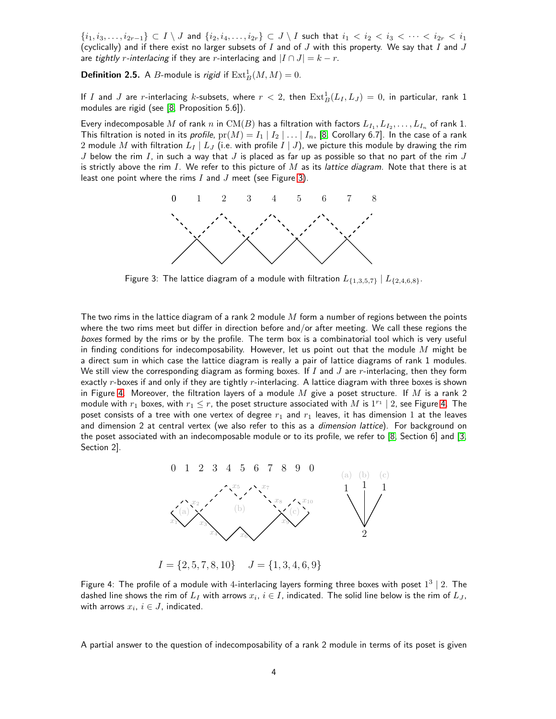$\{i_1,i_3,\ldots,i_{2r-1}\}\subset I\setminus J$  and  $\{i_2,i_4,\ldots,i_{2r}\}\subset J\setminus I$  such that  $i_1 < i_2 < i_3 < \cdots < i_{2r} < i_1$ (cyclically) and if there exist no larger subsets of  $I$  and of  $J$  with this property. We say that  $I$  and  $J$ are *tightly r-interlacing* if they are *r*-interlacing and  $|I \cap J| = k - r$ .

**Definition 2.5.** A *B*-module is *rigid* if  $\text{Ext}_{B}^{1}(M, M) = 0$ .

If  $I$  and  $J$  are  $r$ -interlacing  $k$ -subsets, where  $r < 2$ , then  $\mathrm{Ext}^1_B(L_I,L_J) = 0$ , in particular, rank  $1$ modules are rigid (see [\[8,](#page-13-0) Proposition 5.6]).

<span id="page-3-0"></span>Every indecomposable  $M$  of rank  $n$  in  $\mathrm{CM}(B)$  has a filtration with factors  $L_{I_1},L_{I_2},\ldots,L_{I_n}$  of rank 1. This filtration is noted in its *profile*,  $pr(M) = I_1 | I_2 | \ldots | I_n$ , [\[8,](#page-13-0) Corollary 6.7]. In the case of a rank 2 module M with filtration  $L_I | L_J$  (i.e. with profile  $I | J$ ), we picture this module by drawing the rim J below the rim I, in such a way that J is placed as far up as possible so that no part of the rim J is strictly above the rim I. We refer to this picture of M as its *lattice diagram.* Note that there is at least one point where the rims  $I$  and  $J$  meet (see Figure [3\)](#page-3-0).



Figure 3: The lattice diagram of a module with filtration  $L_{\{1,3,5,7\}} | L_{\{2,4,6,8\}}$ .

The two rims in the lattice diagram of a rank 2 module  $M$  form a number of regions between the points where the two rims meet but differ in direction before and/or after meeting. We call these regions the *boxes* formed by the rims or by the profile. The term box is a combinatorial tool which is very useful in finding conditions for indecomposability. However, let us point out that the module  $M$  might be a direct sum in which case the lattice diagram is really a pair of lattice diagrams of rank 1 modules. We still view the corresponding diagram as forming boxes. If I and J are r-interlacing, then they form exactly  $r$ -boxes if and only if they are tightly  $r$ -interlacing. A lattice diagram with three boxes is shown in Figure [4.](#page-3-1) Moreover, the filtration layers of a module M give a poset structure. If M is a rank 2 module with  $r_1$  boxes, with  $r_1 \leq r$ , the poset structure associated with  $M$  is  $1^{r_1} \mid 2$ , see Figure [4.](#page-3-1) The poset consists of a tree with one vertex of degree  $r_1$  and  $r_1$  leaves, it has dimension 1 at the leaves and dimension 2 at central vertex (we also refer to this as a *dimension lattice*). For background on the poset associated with an indecomposable module or to its profile, we refer to [\[8,](#page-13-0) Section 6] and [\[3,](#page-13-7) Section 2].

<span id="page-3-1"></span>

 $I = \{2, 5, 7, 8, 10\}$   $J = \{1, 3, 4, 6, 9\}$ 

Figure 4: The profile of a module with 4-interlacing layers forming three boxes with poset  $1^3 \mid 2$ . The dashed line shows the rim of  $L_I$  with arrows  $x_i,\,i\in I,$  indicated. The solid line below is the rim of  $L_J,$ with arrows  $x_i, i \in J$ , indicated.

A partial answer to the question of indecomposability of a rank 2 module in terms of its poset is given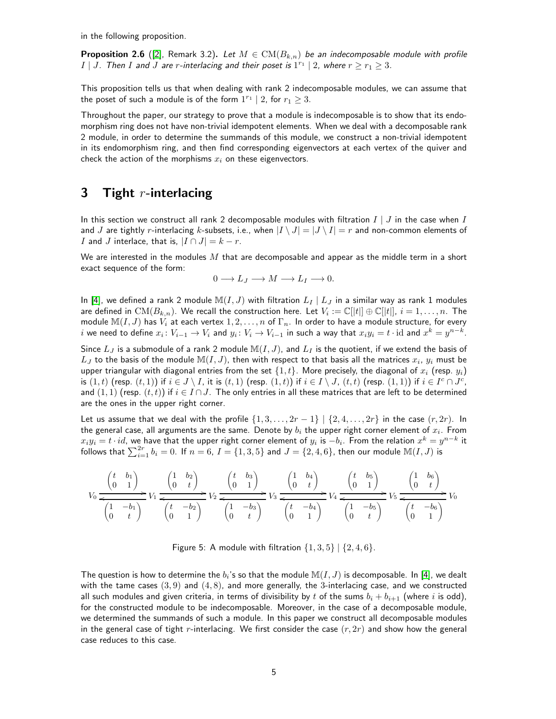in the following proposition.

**Proposition 2.6** ([\[2\]](#page-13-5), Remark 3.2). Let  $M \in CM(B_{k,n})$  be an indecomposable module with profile I | J. Then I and J are r-interlacing and their poset is  $1^{r_1}$  | 2, where  $r \ge r_1 \ge 3$ .

This proposition tells us that when dealing with rank 2 indecomposable modules, we can assume that the poset of such a module is of the form  $1^{r_1} \mid 2$ , for  $r_1 \geq 3$ .

Throughout the paper, our strategy to prove that a module is indecomposable is to show that its endomorphism ring does not have non-trivial idempotent elements. When we deal with a decomposable rank 2 module, in order to determine the summands of this module, we construct a non-trivial idempotent in its endomorphism ring, and then find corresponding eigenvectors at each vertex of the quiver and check the action of the morphisms  $x_i$  on these eigenvectors.

#### **3** Tight  $r$ -interlacing

In this section we construct all rank 2 decomposable modules with filtration  $I \mid J$  in the case when I and J are tightly r-interlacing k-subsets, i.e., when  $|I \setminus J| = |J \setminus I| = r$  and non-common elements of I and J interlace, that is,  $|I \cap J| = k - r$ .

We are interested in the modules  $M$  that are decomposable and appear as the middle term in a short exact sequence of the form:

$$
0 \longrightarrow L_J \longrightarrow M \longrightarrow L_I \longrightarrow 0.
$$

In [\[4\]](#page-13-3), we defined a rank 2 module  $\mathbb{M}(I,J)$  with filtration  $L_I \mid L_J$  in a similar way as rank 1 modules are defined in  $\mathrm{CM}(B_{k,n}).$  We recall the construction here. Let  $V_i:=\mathbb{C}[\|t|\]\oplus\mathbb{C}[\|t|],$   $i=1,\ldots,n.$  The module  $\mathbb{M}(I, J)$  has  $V_i$  at each vertex  $1, 2, \ldots, n$  of  $\Gamma_n$ . In order to have a module structure, for every  $i$  we need to define  $x_i\colon V_{i-1}\to V_i$  and  $y_i\colon V_i\to V_{i-1}$  in such a way that  $x_iy_i=t\cdot{\rm id}$  and  $x^k=y^{n-k}.$ 

Since  $L_J$  is a submodule of a rank 2 module  $\mathbb{M}(I, J)$ , and  $L_I$  is the quotient, if we extend the basis of  $L_J$  to the basis of the module  $\mathbb{M}(I,J)$ , then with respect to that basis all the matrices  $x_i, \, y_i$  must be upper triangular with diagonal entries from the set  $\{1, t\}$ . More precisely, the diagonal of  $x_i$  (resp.  $y_i$ ) is  $(1,t)$  (resp.  $(t,1)$ ) if  $i \in J \setminus I$ , it is  $(t,1)$  (resp.  $(1,t)$ ) if  $i \in I \setminus J$ ,  $(t,t)$  (resp.  $(1,1)$ ) if  $i \in I^c \cap J^c$ , and  $(1,1)$  (resp.  $(t,t)$ ) if  $i \in I \cap J$ . The only entries in all these matrices that are left to be determined are the ones in the upper right corner.

Let us assume that we deal with the profile  $\{1, 3, \ldots, 2r-1\} \mid \{2, 4, \ldots, 2r\}$  in the case  $(r, 2r)$ . In the general case, all arguments are the same. Denote by  $b_i$  the upper right corner element of  $x_i$ . From  $x_i y_i = t\cdot id$ , we have that the upper right corner element of  $y_i$  is  $-b_i.$  From the relation  $x^k = y^{n-k}$  it follows that  $\sum_{i=1}^{2r} b_i = 0$ . If  $n = 6$ ,  $I = \{1, 3, 5\}$  and  $J = \{2, 4, 6\}$ , then our module  $\mathbb{M}(I, J)$  is

$$
V_0 \xrightarrow{\begin{pmatrix} t & b_1 \\ 0 & 1 \end{pmatrix}} V_1 \xrightarrow{\begin{pmatrix} 1 & b_2 \\ 0 & t \end{pmatrix}} V_2 \xrightarrow{\begin{pmatrix} t & b_3 \\ 0 & 1 \end{pmatrix}} V_3 \xrightarrow{\begin{pmatrix} 1 & b_4 \\ 0 & t \end{pmatrix}} V_4 \xrightarrow{\begin{pmatrix} t & b_5 \\ 0 & 1 \end{pmatrix}} V_5 \xrightarrow{\begin{pmatrix} 1 & b_6 \\ 0 & t \end{pmatrix}} V_0
$$
  

$$
\begin{pmatrix} 1 & -b_1 \\ 0 & t \end{pmatrix} V_1 \xrightarrow{\begin{pmatrix} t & -b_2 \\ 0 & 1 \end{pmatrix}} V_2 \xrightarrow{\begin{pmatrix} 1 & -b_3 \\ 0 & t \end{pmatrix}} V_3 \xrightarrow{\begin{pmatrix} t & -b_4 \\ 0 & 1 \end{pmatrix}} V_4 \xrightarrow{\begin{pmatrix} t & -b_5 \\ 0 & t \end{pmatrix}} V_5 \xrightarrow{\begin{pmatrix} t & -b_6 \\ 0 & 1 \end{pmatrix}} V_6
$$

Figure 5: A module with filtration  $\{1, 3, 5\}$  |  $\{2, 4, 6\}$ .

The question is how to determine the  $b_i$ 's so that the module  $\mathbb{M}(I,J)$  is decomposable. In [\[4\]](#page-13-3), we dealt with the tame cases  $(3, 9)$  and  $(4, 8)$ , and more generally, the 3-interlacing case, and we constructed all such modules and given criteria, in terms of divisibility by t of the sums  $b_i + b_{i+1}$  (where i is odd), for the constructed module to be indecomposable. Moreover, in the case of a decomposable module, we determined the summands of such a module. In this paper we construct all decomposable modules in the general case of tight r-interlacing. We first consider the case  $(r, 2r)$  and show how the general case reduces to this case.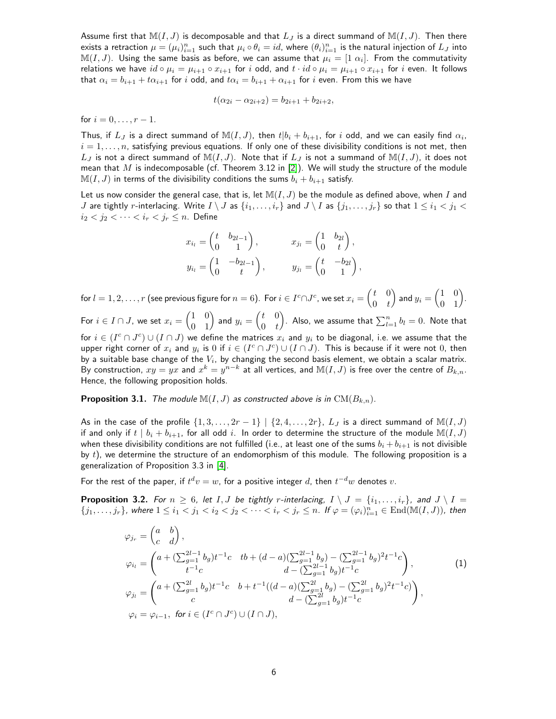Assume first that  $\mathbb{M}(I, J)$  is decomposable and that  $L_J$  is a direct summand of  $\mathbb{M}(I, J)$ . Then there exists a retraction  $\mu=(\mu_i)_{i=1}^n$  such that  $\mu_i\circ\theta_i=id$ , where  $(\theta_i)_{i=1}^n$  is the natural injection of  $L_J$  into  $\mathbb{M}(I,J).$  Using the same basis as before, we can assume that  $\mu_i=[1\ \alpha_i].$  From the commutativity relations we have  $id \circ \mu_i = \mu_{i+1} \circ x_{i+1}$  for i odd, and  $t \cdot id \circ \mu_i = \mu_{i+1} \circ x_{i+1}$  for i even. It follows that  $\alpha_i = b_{i+1} + t\alpha_{i+1}$  for i odd, and  $t\alpha_i = b_{i+1} + \alpha_{i+1}$  for i even. From this we have

$$
t(\alpha_{2i} - \alpha_{2i+2}) = b_{2i+1} + b_{2i+2},
$$

for  $i = 0, \ldots, r - 1$ .

Thus, if  $L_J$  is a direct summand of  $\mathbb{M}(I,J)$ , then  $t|b_i+b_{i+1}$ , for  $i$  odd, and we can easily find  $\alpha_i,$  $i = 1, \ldots, n$ , satisfying previous equations. If only one of these divisibility conditions is not met, then  $L_J$  is not a direct summand of  $\mathbb{M}(I,J)$ . Note that if  $L_J$  is not a summand of  $\mathbb{M}(I,J)$ , it does not mean that  $M$  is indecomposable (cf. Theorem 3.12 in [\[2\]](#page-13-5)). We will study the structure of the module  $\mathbb{M}(I, J)$  in terms of the divisibility conditions the sums  $b_i + b_{i+1}$  satisfy.

Let us now consider the general case, that is, let  $M(I, J)$  be the module as defined above, when I and J are tightly r-interlacing. Write  $I \setminus J$  as  $\{i_1, \ldots, i_r\}$  and  $J \setminus I$  as  $\{j_1, \ldots, j_r\}$  so that  $1 \leq i_1 < j_1 < j_2$  $i_2 < j_2 < \cdots < i_r < j_r \leq n$ . Define

$$
x_{i_l} = \begin{pmatrix} t & b_{2l-1} \\ 0 & 1 \end{pmatrix}, \qquad x_{j_l} = \begin{pmatrix} 1 & b_{2l} \\ 0 & t \end{pmatrix},
$$
  

$$
y_{i_l} = \begin{pmatrix} 1 & -b_{2l-1} \\ 0 & t \end{pmatrix}, \qquad y_{j_l} = \begin{pmatrix} t & -b_{2l} \\ 0 & 1 \end{pmatrix},
$$

for  $l=1,2,\ldots,r$  (see previous figure for  $n=6$ ). For  $i\in I^c\cap J^c$ , we set  $x_i=\begin{pmatrix} t&0\ 0&t\end{pmatrix}$  $0 \quad t$  $\bigg)$  and  $y_i = \begin{pmatrix} 1 & 0 \ 0 & 1 \end{pmatrix}$ . For  $i \in I \cap J$ , we set  $x_i = \begin{pmatrix} 1 & 0 \ 0 & 1 \end{pmatrix}$  and  $y_i = \begin{pmatrix} t & 0 \ 0 & t \end{pmatrix}$  $0 \quad t$ ). Also, we assume that  $\sum_{l=1}^n b_l=0.$  Note that for  $i\in (I^c\cap J^c)\cup (I\cap J)$  we define the matrices  $x_i$  and  $y_i$  to be diagonal, i.e. we assume that the upper right corner of  $x_i$  and  $y_i$  is  $0$  if  $i \in (I^c \cap J^c) \cup (I \cap J)$ . This is because if it were not  $0$ , then by a suitable base change of the  $V_i$ , by changing the second basis element, we obtain a scalar matrix. By construction,  $xy=yx$  and  $x^k=y^{n-k}$  at all vertices, and  $\mathbb{M}(I,J)$  is free over the centre of  $B_{k,n}.$ Hence, the following proposition holds.

**Proposition 3.1.** *The module*  $M(I, J)$  *as constructed above is in*  $CM(B_{k,n})$ *.* 

As in the case of the profile  $\{1, 3, \ldots, 2r - 1\} \mid \{2, 4, \ldots, 2r\}$ ,  $L_J$  is a direct summand of  $\mathbb{M}(I, J)$ if and only if  $t \mid b_i + b_{i+1}$ , for all odd i. In order to determine the structure of the module  $\mathbb{M}(I, J)$ when these divisibility conditions are not fulfilled (i.e., at least one of the sums  $b_i + b_{i+1}$  is not divisible by  $t$ ), we determine the structure of an endomorphism of this module. The following proposition is a generalization of Proposition 3.3 in [\[4\]](#page-13-3).

For the rest of the paper, if  $t^d v = w$ , for a positive integer  $d$ , then  $t^{-d} w$  denotes  $v$ .

**Proposition 3.2.** *For*  $n \geq 6$ *, let* I, J *be tightly r-interlacing,*  $I \setminus J = \{i_1, \ldots, i_r\}$ *, and*  $J \setminus I =$  $\{j_1, \ldots, j_r\}$ , where  $1 \leq i_1 < j_1 < i_2 < j_2 < \cdots < i_r < j_r \leq n$ . If  $\varphi = (\varphi_i)_{i=1}^n \in \text{End}(\mathbb{M}(I,J))$ , then

<span id="page-5-0"></span>
$$
\varphi_{j_r} = \begin{pmatrix} a & b \\ c & d \end{pmatrix},
$$
  
\n
$$
\varphi_{i_l} = \begin{pmatrix} a + (\sum_{g=1}^{2l-1} b_g) t^{-1} c & tb + (d-a)(\sum_{g=1}^{2l-1} b_g) - (\sum_{g=1}^{2l-1} b_g)^2 t^{-1} c \\ t^{-1} c & d - (\sum_{g=1}^{2l-1} b_g) t^{-1} c \end{pmatrix},
$$
  
\n
$$
\varphi_{j_l} = \begin{pmatrix} a + (\sum_{g=1}^{2l} b_g) t^{-1} c & b + t^{-1} ((d-a)(\sum_{g=1}^{2l} b_g) - (\sum_{g=1}^{2l} b_g)^2 t^{-1} c) \\ c & d - (\sum_{g=1}^{2l} b_g) t^{-1} c \end{pmatrix},
$$
  
\n
$$
\varphi_i = \varphi_{i-1}, \text{ for } i \in (I^c \cap J^c) \cup (I \cap J),
$$
\n(1)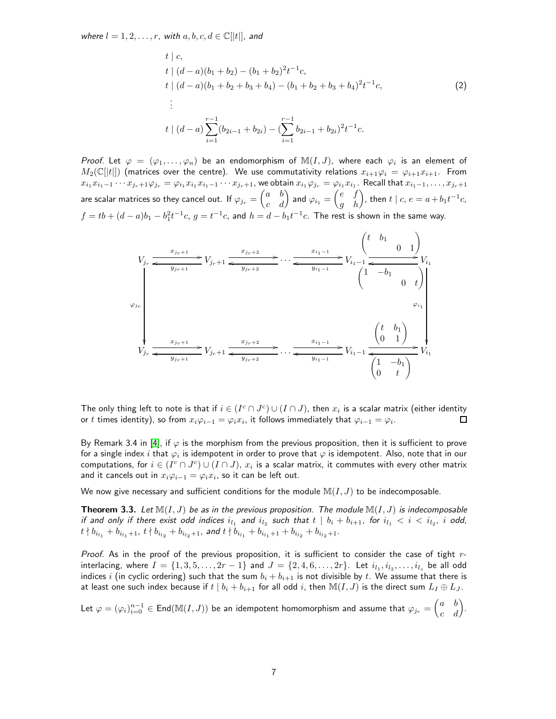*where*  $l = 1, 2, \ldots, r$ , with  $a, b, c, d \in \mathbb{C}[[t]]$ , and

<span id="page-6-1"></span>
$$
t \mid c,
$$
  
\n
$$
t \mid (d - a)(b_1 + b_2) - (b_1 + b_2)^2 t^{-1} c,
$$
  
\n
$$
t \mid (d - a)(b_1 + b_2 + b_3 + b_4) - (b_1 + b_2 + b_3 + b_4)^2 t^{-1} c,
$$
  
\n
$$
\vdots
$$
  
\n
$$
t \mid (d - a) \sum_{i=1}^{r-1} (b_{2i-1} + b_{2i}) - (\sum_{i=1}^{r-1} b_{2i-1} + b_{2i})^2 t^{-1} c.
$$
\n(2)

*Proof.* Let  $\varphi = (\varphi_1, \ldots, \varphi_n)$  be an endomorphism of  $\mathbb{M}(I,J)$ , where each  $\varphi_i$  is an element of  $M_2(\mathbb{C}[|t|])$  (matrices over the centre). We use commutativity relations  $x_{i+1}\varphi_i = \varphi_{i+1}x_{i+1}$ . From  $x_{i_1}x_{i_1-1}\cdots x_{j_r+1}\varphi_{j_r}=\varphi_{i_1}x_{i_1}x_{i_1-1}\cdots x_{j_r+1}$ , we obtain  $x_{i_1}\varphi_{j_r}=\varphi_{i_1}x_{i_1}$ . Recall that  $x_{i_1-1},\ldots,x_{j_r+1}$ are scalar matrices so they cancel out. If  $\varphi_{j_r}=\begin{pmatrix} a & b \ c & d \end{pmatrix}$  and  $\varphi_{i_1}=\begin{pmatrix} e & f \ g & h \end{pmatrix}$ , then  $t\mid c,\,e=a+b_1t^{-1}c,$  $f = tb + (d-a)b_1 - b_1^2t^{-1}c, \ g = t^{-1}c,$  and  $h = d - b_1t^{-1}c.$  The rest is shown in the same way.

$$
V_{j_r} \xrightarrow{\begin{array}{c}\nx_{j_r+1} \\
y_{j_r+1}\n\end{array}} V_{j_r+1} \xrightarrow{\begin{array}{c}\nx_{j_r+2} \\
y_{j_r+2}\n\end{array}} \cdots \xrightarrow{\begin{array}{c}\nx_{i_1-1} \\
y_{i_1-1}\n\end{array}} V_{i_1-1} \xrightarrow{\begin{array}{c}\n\begin{array}{c}\n\begin{array}{c}\n\begin{array}{c}\n\begin{array}{c}\n\begin{array}{c}\n\begin{array}{c}\n\end{array} \\
\end{array} \\
\end{array} \\
V_{i_1}\n\end{array}} V_{i_1}\n\end{array}} V_{i_1}
$$
\n
$$
V_{j_r} \xrightarrow{\begin{array}{c}\nx_{j_r+1} \\
y_{j_r+1}\n\end{array}} V_{j_r+1} \xrightarrow{\begin{array}{c}\nx_{j_r+2} \\
y_{j_r+2}\n\end{array}} \cdots \xrightarrow{\begin{array}{c}\nx_{i_1-1} \\
y_{i_1-1}\n\end{array}} V_{i_1-1} \xrightarrow{\begin{array}{c}\n\begin{array}{c}\n\begin{array}{c}\n\begin{array}{c}\n\begin{array}{c}\n\begin{array}{c}\n\begin{array}{c}\n\end{array} \\
\end{array} \\
\end{array}} V_{i_1}\n\end{array}} V_{i_1}\n\end{array}}
$$

The only thing left to note is that if  $i\in (I^c\cap J^c)\cup (I\cap J)$ , then  $x_i$  is a scalar matrix (either identity or  $t$  times identity), so from  $x_i\varphi_{i-1}=\varphi_i x_i$ , it follows immediately that  $\varphi_{i-1}=\varphi_i.$  $\Box$ 

By Remark 3.4 in [\[4\]](#page-13-3), if  $\varphi$  is the morphism from the previous proposition, then it is sufficient to prove for a single index  $i$  that  $\varphi_i$  is idempotent in order to prove that  $\varphi$  is idempotent. Also, note that in our computations, for  $i\in (I^c\cap J^c)\cup (I\cap J),$   $x_i$  is a scalar matrix, it commutes with every other matrix and it cancels out in  $x_i\varphi_{i-1}=\varphi_i x_i$ , so it can be left out.

We now give necessary and sufficient conditions for the module  $\mathbb{M}(I, J)$  to be indecomposable.

<span id="page-6-0"></span>**Theorem 3.3.** Let  $\mathbb{M}(I, J)$  be as in the previous proposition. The module  $\mathbb{M}(I, J)$  is indecomposable *if and only if there exist odd indices*  $i_{l_1}$  and  $i_{l_2}$  such that  $t \mid b_i + b_{i+1}$ , for  $i_{l_1} < i < i_{l_2}$ , i odd,  $t\nmid b_{i_{l_1}}+b_{i_{l_1}+1},\ t\nmid b_{i_{l_2}}+b_{i_{l_2}+1},\ \textit{and}\ t\nmid b_{i_{l_1}}+b_{i_{l_1}+1}+b_{i_{l_2}}+b_{i_{l_2}+1}.$ 

*Proof.* As in the proof of the previous proposition, it is sufficient to consider the case of tight rinterlacing, where  $I=\{1,3,5,\ldots,2r-1\}$  and  $J=\{2,4,6,\ldots,2r\}.$  Let  $i_{l_1},i_{l_2},\ldots,i_{l_s}$  be all odd indices i (in cyclic ordering) such that the sum  $b_i + b_{i+1}$  is not divisible by t. We assume that there is at least one such index because if  $t | b_i + b_{i+1}$  for all odd i, then  $\mathbb{M}(I, J)$  is the direct sum  $L_I \oplus L_J$ .

Let  $\varphi=(\varphi_i)_{i=0}^{n-1}\in{\sf End}(\mathbb{M}(I,J))$  be an idempotent homomorphism and assume that  $\varphi_{j_r}=\begin{pmatrix} a&b\ c&d \end{pmatrix}$ .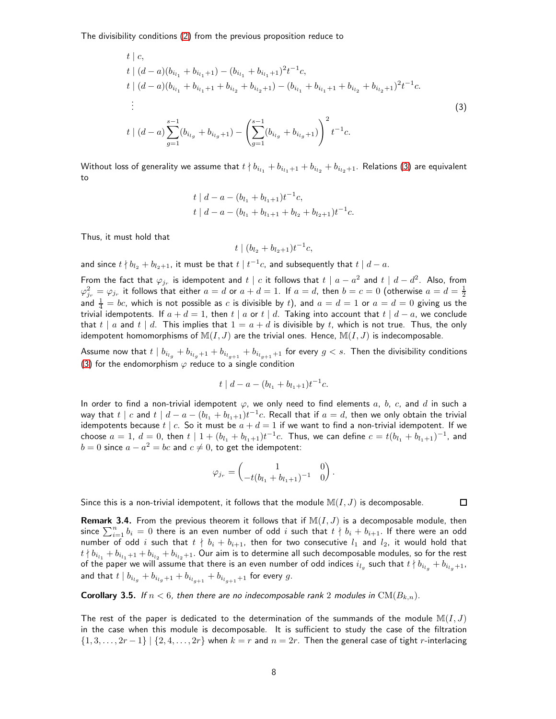The divisibility conditions [\(2\)](#page-6-1) from the previous proposition reduce to

$$
t \mid c,
$$
  
\n
$$
t \mid (d - a)(b_{i_{l_1}} + b_{i_{l_1}+1}) - (b_{i_{l_1}} + b_{i_{l_1}+1})^2 t^{-1} c,
$$
  
\n
$$
t \mid (d - a)(b_{i_{l_1}} + b_{i_{l_1}+1} + b_{i_{l_2}} + b_{i_{l_2}+1}) - (b_{i_{l_1}} + b_{i_{l_1}+1} + b_{i_{l_2}} + b_{i_{l_2}+1})^2 t^{-1} c.
$$
  
\n
$$
\vdots
$$
  
\n
$$
t \mid (d - a) \sum_{g=1}^{s-1} (b_{i_{l_g}} + b_{i_{l_g}+1}) - \left( \sum_{g=1}^{s-1} (b_{i_{l_g}} + b_{i_{l_g}+1}) \right)^2 t^{-1} c.
$$
\n(3)

Without loss of generality we assume that  $t\nmid b_{i_{l_1}}+b_{i_{l_1}+1}+b_{i_{l_2}}+b_{i_{l_2}+1}.$  Relations [\(3\)](#page-7-0) are equivalent to

$$
t | d - a - (b_{l_1} + b_{l_1+1})t^{-1}c,
$$
  

$$
t | d - a - (b_{l_1} + b_{l_1+1} + b_{l_2} + b_{l_2+1})t^{-1}c.
$$

Thus, it must hold that

<span id="page-7-0"></span>
$$
t \mid (b_{l_2} + b_{l_2+1})t^{-1}c,
$$

and since  $t \nmid b_{l_2}+b_{l_2+1}$ , it must be that  $t \mid t^{-1}c$ , and subsequently that  $t \mid d-a.$ 

From the fact that  $\varphi_{j_r}$  is idempotent and  $t \mid c$  it follows that  $t \mid a - a^2$  and  $t \mid d - d^2$ . Also, from  $\varphi^2_{j_r}=\varphi_{j_r}$  it follows that either  $a=d$  or  $a+d=1.$  If  $a=d,$  then  $b=c=0$  (otherwise  $a=d=\frac{1}{2}$ and  $\frac{1}{4} = bc$ , which is not possible as  $c$  is divisible by  $t$ ), and  $a = d = 1$  or  $a = d = 0$  giving us the trivial idempotents. If  $a + d = 1$ , then  $t | a$  or  $t | d$ . Taking into account that  $t | d - a$ , we conclude that  $t | a$  and  $t | d$ . This implies that  $1 = a + d$  is divisible by t, which is not true. Thus, the only idempotent homomorphisms of  $M(I, J)$  are the trivial ones. Hence,  $M(I, J)$  is indecomposable.

Assume now that  $t \mid b_{i_{l_g}}+b_{i_{l_g+1}}+b_{i_{l_{g+1}}}+b_{i_{l_{g+1}}+1}$  for every  $g < s.$  Then the divisibility conditions [\(3\)](#page-7-0) for the endomorphism  $\varphi$  reduce to a single condition

$$
t \mid d - a - (b_{l_1} + b_{l_1+1})t^{-1}c.
$$

In order to find a non-trivial idempotent  $\varphi$ , we only need to find elements a, b, c, and d in such a way that  $t \mid c$  and  $t \mid d - a - (b_{l_1} + b_{l_1+1})t^{-1}c.$  Recall that if  $a = d,$  then we only obtain the trivial idempotents because  $t \mid c$ . So it must be  $a + d = 1$  if we want to find a non-trivial idempotent. If we choose  $a = 1$ ,  $d = 0$ , then  $t \mid 1 + (b_{l_1} + b_{l_1+1})t^{-1}c$ . Thus, we can define  $c = t(b_{l_1} + b_{l_1+1})^{-1}$ , and  $b = 0$  since  $a - a^2 = bc$  and  $c \neq 0$ , to get the idempotent:

$$
\varphi_{j_r} = \begin{pmatrix} 1 & 0 \\ -t(b_{l_1} + b_{l_1+1})^{-1} & 0 \end{pmatrix}.
$$

Since this is a non-trivial idempotent, it follows that the module  $\mathbb{M}(I, J)$  is decomposable.

 $\Box$ 

**Remark 3.4.** From the previous theorem it follows that if  $M(I, J)$  is a decomposable module, then since  $\sum_{i=1}^n b_i = 0$  there is an even number of odd  $i$  such that  $t\nmid b_i + b_{i+1}.$  If there were an odd number of odd i such that  $t \nmid b_i + b_{i+1}$ , then for two consecutive  $l_1$  and  $l_2$ , it would hold that  $t\nmid b_{i_{l_1}}+b_{i_{l_1}+1}+b_{i_{l_2}}+b_{i_{l_2}+1}.$  Our aim is to determine all such decomposable modules, so for the rest of the paper we will assume that there is an even number of odd indices  $i_{l_g}$  such that  $t \nmid b_{i_{l_g}}+b_{i_{l_g}+1}$ , and that  $t \mid b_{i_{l_g}} + b_{i_{l_g}+1} + b_{i_{l_g+1}} + b_{i_{l_g+1}+1}$  for every  $g.$ 

**Corollary 3.5.** If  $n < 6$ , then there are no indecomposable rank 2 modules in  $CM(B_{k,n})$ .

The rest of the paper is dedicated to the determination of the summands of the module  $\mathbb{M}(I, J)$ in the case when this module is decomposable. It is sufficient to study the case of the filtration  $\{1, 3, \ldots, 2r-1\}$  |  $\{2, 4, \ldots, 2r\}$  when  $k = r$  and  $n = 2r$ . Then the general case of tight r-interlacing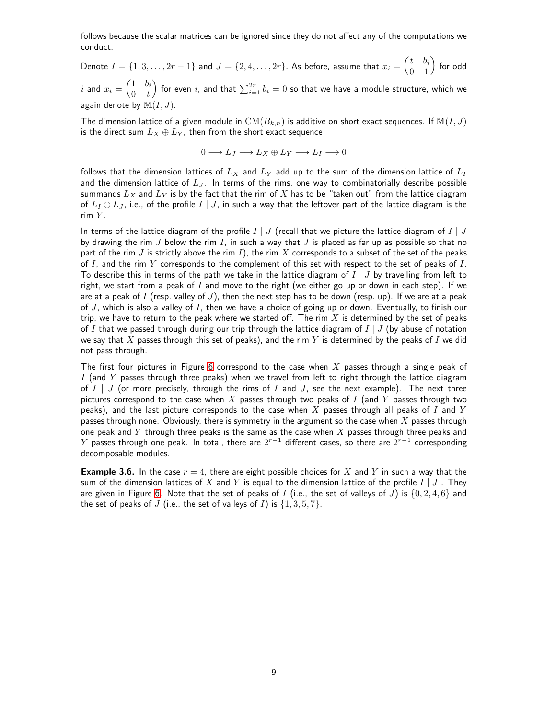follows because the scalar matrices can be ignored since they do not affect any of the computations we conduct.

Denote  $I=\{1,3,\ldots,2r-1\}$  and  $J=\{2,4,\ldots,2r\}.$  As before, assume that  $x_i=\begin{pmatrix} t&b_i\0&1\end{pmatrix}$  for odd  $i$  and  $x_i = \begin{pmatrix} 1 & b_i \ 0 & t_i \end{pmatrix}$  $0 \quad t$  $\left(\begin{array}{c} 0 \end{array}\right)$  for even  $i$ , and that  $\sum_{i=1}^{2r}b_i=0$  so that we have a module structure, which we again denote by  $\mathbb{M}(I, J)$ .

The dimension lattice of a given module in  $CM(B_{k,n})$  is additive on short exact sequences. If  $M(I, J)$ is the direct sum  $L_X \oplus L_Y$ , then from the short exact sequence

$$
0 \longrightarrow L_J \longrightarrow L_X \oplus L_Y \longrightarrow L_I \longrightarrow 0
$$

follows that the dimension lattices of  $L_X$  and  $L_Y$  add up to the sum of the dimension lattice of  $L_I$ and the dimension lattice of  $L_J$ . In terms of the rims, one way to combinatorially describe possible summands  $L_X$  and  $L_Y$  is by the fact that the rim of X has to be "taken out" from the lattice diagram of  $L_I \oplus L_J$ , i.e., of the profile  $I \mid J$ , in such a way that the leftover part of the lattice diagram is the rim Y.

In terms of the lattice diagram of the profile  $I \mid J$  (recall that we picture the lattice diagram of  $I \mid J$ by drawing the rim  $J$  below the rim  $I$ , in such a way that  $J$  is placed as far up as possible so that no part of the rim  $J$  is strictly above the rim  $I$ ), the rim  $X$  corresponds to a subset of the set of the peaks of  $I$ , and the rim  $Y$  corresponds to the complement of this set with respect to the set of peaks of  $I$ . To describe this in terms of the path we take in the lattice diagram of  $I \mid J$  by travelling from left to right, we start from a peak of I and move to the right (we either go up or down in each step). If we are at a peak of I (resp. valley of J), then the next step has to be down (resp. up). If we are at a peak of  $J$ , which is also a valley of  $I$ , then we have a choice of going up or down. Eventually, to finish our trip, we have to return to the peak where we started off. The rim  $X$  is determined by the set of peaks of I that we passed through during our trip through the lattice diagram of  $I \mid J$  (by abuse of notation we say that X passes through this set of peaks), and the rim Y is determined by the peaks of I we did not pass through.

The first four pictures in Figure [6](#page-9-0) correspond to the case when X passes through a single peak of I (and Y passes through three peaks) when we travel from left to right through the lattice diagram of  $I \mid J$  (or more precisely, through the rims of  $I$  and  $J$ , see the next example). The next three pictures correspond to the case when  $X$  passes through two peaks of  $I$  (and  $Y$  passes through two peaks), and the last picture corresponds to the case when  $X$  passes through all peaks of  $I$  and  $Y$ passes through none. Obviously, there is symmetry in the argument so the case when  $X$  passes through one peak and Y through three peaks is the same as the case when X passes through three peaks and  $Y$  passes through one peak. In total, there are  $2^{r-1}$  different cases, so there are  $2^{r-1}$  corresponding decomposable modules.

**Example 3.6.** In the case  $r = 4$ , there are eight possible choices for X and Y in such a way that the sum of the dimension lattices of X and Y is equal to the dimension lattice of the profile  $I \mid J$ . They are given in Figure [6.](#page-9-0) Note that the set of peaks of I (i.e., the set of valleys of J) is  $\{0, 2, 4, 6\}$  and the set of peaks of J (i.e., the set of valleys of I) is  $\{1, 3, 5, 7\}$ .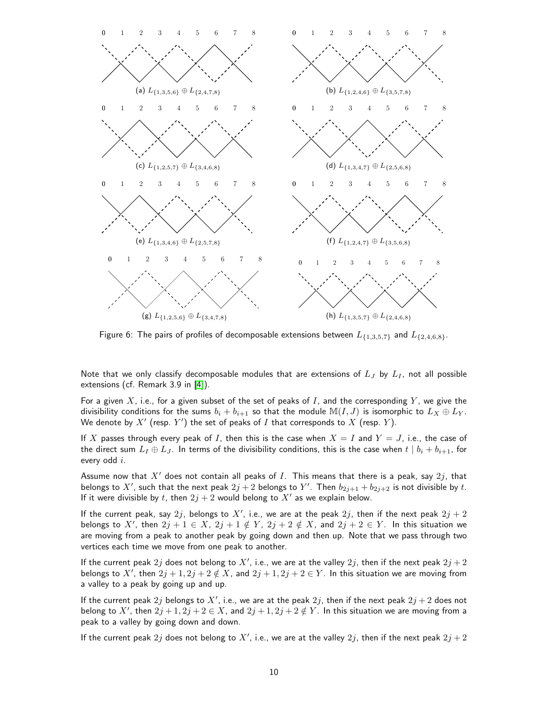<span id="page-9-0"></span>

Figure 6: The pairs of profiles of decomposable extensions between  $L_{\{1,3,5,7\}}$  and  $L_{\{2,4,6,8\}}$ .

Note that we only classify decomposable modules that are extensions of  $L_J$  by  $L_I$ , not all possible extensions (cf. Remark 3.9 in [\[4\]](#page-13-3)).

For a given X, i.e., for a given subset of the set of peaks of I, and the corresponding Y, we give the divisibility conditions for the sums  $b_i + b_{i+1}$  so that the module  $\mathbb{M}(I, J)$  is isomorphic to  $L_X \oplus L_Y$ . We denote by  $X'$  (resp.  $Y'$ ) the set of peaks of  $I$  that corresponds to  $X$  (resp.  $Y$ ).

If X passes through every peak of I, then this is the case when  $X = I$  and  $Y = J$ , i.e., the case of the direct sum  $L_1 \oplus L_3$ . In terms of the divisibility conditions, this is the case when  $t | b_i + b_{i+1}$ , for every odd i.

Assume now that  $X'$  does not contain all peaks of I. This means that there is a peak, say  $2j$ , that belongs to  $X'$ , such that the next peak  $2j + 2$  belongs to  $Y'$ . Then  $b_{2j+1} + b_{2j+2}$  is not divisible by t. If it were divisible by t, then  $2j + 2$  would belong to  $X'$  as we explain below.

If the current peak, say  $2j$ , belongs to  $X'$ , i.e., we are at the peak  $2j$ , then if the next peak  $2j + 2$ belongs to X', then  $2j + 1 \in X$ ,  $2j + 1 \notin Y$ ,  $2j + 2 \notin X$ , and  $2j + 2 \in Y$ . In this situation we are moving from a peak to another peak by going down and then up. Note that we pass through two vertices each time we move from one peak to another.

If the current peak  $2j$  does not belong to  $X'$ , i.e., we are at the valley  $2j$ , then if the next peak  $2j + 2$ belongs to X', then  $2j + 1$ ,  $2j + 2 \notin X$ , and  $2j + 1$ ,  $2j + 2 \in Y$ . In this situation we are moving from a valley to a peak by going up and up.

If the current peak  $2j$  belongs to  $X'$ , i.e., we are at the peak  $2j$ , then if the next peak  $2j+2$  does not belong to X', then  $2j + 1, 2j + 2 \in X$ , and  $2j + 1, 2j + 2 \notin Y$ . In this situation we are moving from a peak to a valley by going down and down.

If the current peak  $2j$  does not belong to  $X'$ , i.e., we are at the valley  $2j$ , then if the next peak  $2j + 2$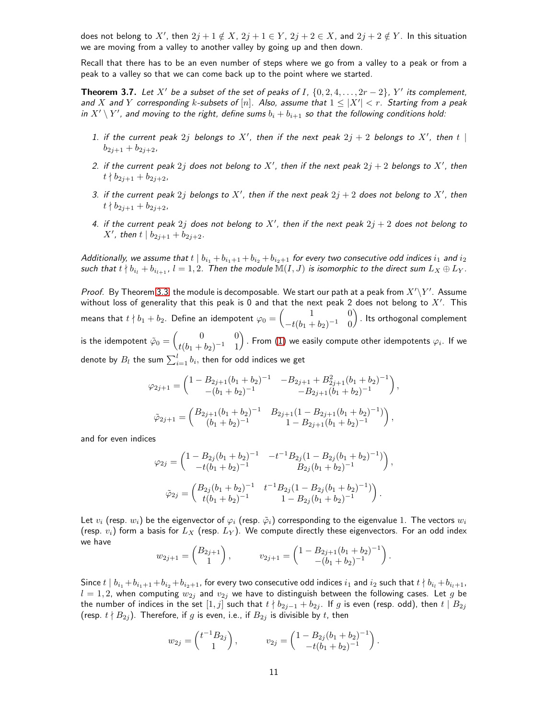does not belong to X', then  $2j + 1 \notin X$ ,  $2j + 1 \in Y$ ,  $2j + 2 \in X$ , and  $2j + 2 \notin Y$ . In this situation we are moving from a valley to another valley by going up and then down.

Recall that there has to be an even number of steps where we go from a valley to a peak or from a peak to a valley so that we can come back up to the point where we started.

<span id="page-10-0"></span>**Theorem 3.7.** Let  $X'$  be a subset of the set of peaks of I,  $\{0, 2, 4, \ldots, 2r - 2\}$ ,  $Y'$  its complement, *and*  $X$  *and*  $Y$  *corresponding*  $k$ *-subsets of*  $[n]$ *. Also, assume that*  $1 \leq |X'| < r$ . Starting from a peak *in*  $X' \setminus Y'$ *, and moving to the right, define sums*  $b_i + b_{i+1}$  *so that the following conditions hold:* 

- 1. if the current peak  $2j$  belongs to  $X'$ , then if the next peak  $2j + 2$  belongs to  $X'$ , then  $t \mid$  $b_{2i+1} + b_{2i+2}$
- 2. if the current peak  $2j$  does not belong to  $X'$ , then if the next peak  $2j + 2$  belongs to  $X'$ , then  $t \nmid b_{2i+1} + b_{2i+2}$
- 3. if the current peak  $2j$  belongs to  $X'$ , then if the next peak  $2j + 2$  does not belong to  $X'$ , then  $t \nmid b_{2j+1} + b_{2j+2}$
- 4. if the current peak  $2j$  does not belong to  $X'$ , then if the next peak  $2j + 2$  does not belong to *X'*, then  $t | b_{2j+1} + b_{2j+2}$ .

*Additionally, we assume that*  $t \mid b_{i_1} + b_{i_1+1} + b_{i_2} + b_{i_2+1}$  *for every two consecutive odd indices*  $i_1$  *and*  $i_2$ *such that*  $t \nmid b_{i_l} + b_{i_{l+1}}$ ,  $l = 1, 2$ . Then the module  $\mathbb{M}(I, J)$  is isomorphic to the direct sum  $L_X \oplus L_Y$ .

*Proof.* By Theorem [3.3,](#page-6-0) the module is decomposable. We start our path at a peak from  $X'\backslash Y'$ . Assume without loss of generality that this peak is 0 and that the next peak 2 does not belong to  $X'$ . This means that  $t\nmid b_1+b_2$ . Define an idempotent  $\varphi_0=\left(\begin{array}{cc}1&0\t\end{array}\right)$  $-t(b_1+b_2)^{-1} = 0$ ). Its orthogonal complement is the idempotent  $\tilde{\varphi}_0 = \begin{pmatrix} 0 & 0 \ \frac{1}{4}(k_1 + k_2) - 1 & 1 \end{pmatrix}$  $t(b_1+b_2)^{-1}$  1 ) . From [\(1\)](#page-5-0) we easily compute other idempotents  $\varphi_i.$  If we

denote by  $B_l$  the sum  $\sum_{i=1}^l b_i,$  then for odd indices we get

$$
\varphi_{2j+1} = \begin{pmatrix} 1 - B_{2j+1}(b_1 + b_2)^{-1} & -B_{2j+1} + B_{2j+1}^2 (b_1 + b_2)^{-1} \ - (b_1 + b_2)^{-1} & -B_{2j+1}(b_1 + b_2)^{-1} \end{pmatrix},
$$
  

$$
\tilde{\varphi}_{2j+1} = \begin{pmatrix} B_{2j+1}(b_1 + b_2)^{-1} & B_{2j+1}(1 - B_{2j+1}(b_1 + b_2)^{-1}) \ - (b_1 + b_2)^{-1} & 1 - B_{2j+1}(b_1 + b_2)^{-1} \end{pmatrix},
$$

and for even indices

$$
\varphi_{2j} = \begin{pmatrix} 1 - B_{2j}(b_1 + b_2)^{-1} & -t^{-1}B_{2j}(1 - B_{2j}(b_1 + b_2)^{-1}) \\ -t(b_1 + b_2)^{-1} & B_{2j}(b_1 + b_2)^{-1} \end{pmatrix},
$$

$$
\tilde{\varphi}_{2j} = \begin{pmatrix} B_{2j}(b_1 + b_2)^{-1} & t^{-1}B_{2j}(1 - B_{2j}(b_1 + b_2)^{-1}) \\ t(b_1 + b_2)^{-1} & 1 - B_{2j}(b_1 + b_2)^{-1} \end{pmatrix}.
$$

Let  $v_i$  (resp.  $w_i$ ) be the eigenvector of  $\varphi_i$  (resp.  $\tilde{\varphi}_i$ ) corresponding to the eigenvalue 1. The vectors  $w_i$ (resp.  $v_i$ ) form a basis for  $L_X$  (resp.  $L_Y$ ). We compute directly these eigenvectors. For an odd index we have

$$
w_{2j+1} = \begin{pmatrix} B_{2j+1} \\ 1 \end{pmatrix}, \qquad v_{2j+1} = \begin{pmatrix} 1 - B_{2j+1}(b_1 + b_2)^{-1} \\ -(b_1 + b_2)^{-1} \end{pmatrix}.
$$

Since  $t \mid b_{i_1}+b_{i_1+1}+b_{i_2}+b_{i_2+1}$ , for every two consecutive odd indices  $i_1$  and  $i_2$  such that  $t \nmid b_{i_1}+b_{i_1+1}$ ,  $l = 1, 2$ , when computing  $w_{2j}$  and  $v_{2j}$  we have to distinguish between the following cases. Let g be the number of indices in the set [1, j] such that  $t \nmid b_{2j-1} + b_{2j}$ . If g is even (resp. odd), then  $t \mid B_{2j}$ (resp.  $t \nmid B_{2j}$ ). Therefore, if g is even, i.e., if  $B_{2j}$  is divisible by t, then

$$
w_{2j} = \begin{pmatrix} t^{-1}B_{2j} \\ 1 \end{pmatrix}, \qquad v_{2j} = \begin{pmatrix} 1 - B_{2j}(b_1 + b_2)^{-1} \\ -t(b_1 + b_2)^{-1} \end{pmatrix}.
$$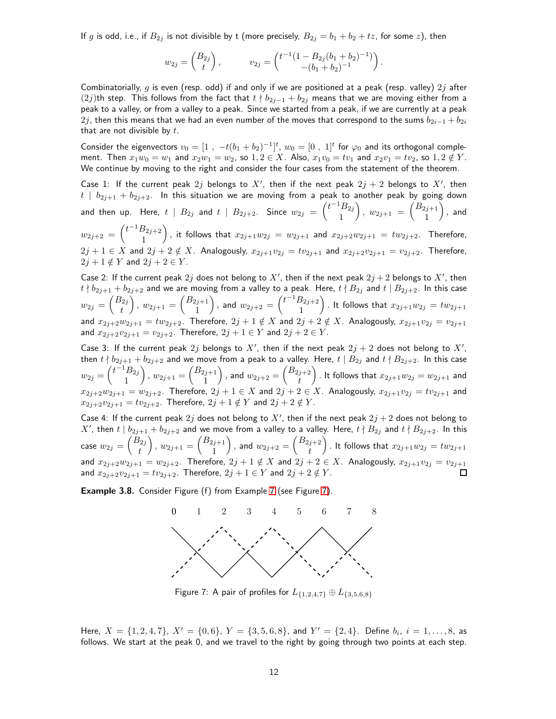If g is odd, i.e., if  $B_{2j}$  is not divisible by t (more precisely,  $B_{2j} = b_1 + b_2 + tz$ , for some z), then

$$
w_{2j} = \begin{pmatrix} B_{2j} \\ t \end{pmatrix}, \qquad v_{2j} = \begin{pmatrix} t^{-1}(1 - B_{2j}(b_1 + b_2)^{-1}) \\ -(b_1 + b_2)^{-1} \end{pmatrix}.
$$

Combinatorially, g is even (resp. odd) if and only if we are positioned at a peak (resp. valley)  $2j$  after  $(2j)$ th step. This follows from the fact that  $t\nmid b_{2j-1}+b_{2j}$  means that we are moving either from a peak to a valley, or from a valley to a peak. Since we started from a peak, if we are currently at a peak 2j, then this means that we had an even number of the moves that correspond to the sums  $b_{2i-1} + b_{2i}$ that are not divisible by  $t$ .

Consider the eigenvectors  $v_0 = [1, -t(b_1 + b_2)^{-1}]^t$ ,  $w_0 = [0, 1]^t$  for  $\varphi_0$  and its orthogonal complement. Then  $x_1w_0 = w_1$  and  $x_2w_1 = w_2$ , so  $1, 2 \in X$ . Also,  $x_1v_0 = tv_1$  and  $x_2v_1 = tv_2$ , so  $1, 2 \notin Y$ . We continue by moving to the right and consider the four cases from the statement of the theorem.

Case 1: If the current peak  $2j$  belongs to  $X'$ , then if the next peak  $2j + 2$  belongs to  $X'$ , then  $t | b_{2j+1} + b_{2j+2}$ . In this situation we are moving from a peak to another peak by going down and then up. Here,  $t \, \mid \, B_{2j}$  and  $t \, \mid \, B_{2j+2}$ . Since  $w_{2j} \ = \ \binom{t^{-1} B_{2j}}{1}$ 1  $\Big), w_{2j+1} = \begin{pmatrix} B_{2j+1} \\ 1 \end{pmatrix}$ 1  $\big)$ , and  $w_{2j+2} = \begin{pmatrix} t^{-1}B_{2j+2} \\ 1 \end{pmatrix}$ 1 ), it follows that  $x_{2j+1}w_{2j} = w_{2j+1}$  and  $x_{2j+2}w_{2j+1} = tw_{2j+2}$ . Therefore,  $2j+1 \in X$  and  $2j+2 \notin X$ . Analogously,  $x_{2j+1}v_{2j} = tv_{2j+1}$  and  $x_{2j+2}v_{2j+1} = v_{2j+2}$ . Therefore,  $2j + 1 \notin Y$  and  $2j + 2 \in Y$ .

Case 2: If the current peak  $2j$  does not belong to  $X'$ , then if the next peak  $2j + 2$  belongs to  $X'$ , then  $t \nmid b_{2j+1} + b_{2j+2}$  and we are moving from a valley to a peak. Here,  $t \nmid B_{2j}$  and  $t \mid B_{2j+2}$ . In this case  $w_{2j} = \begin{pmatrix} B_{2j} \ 0 \end{pmatrix}$ t  $\Big), w_{2j+1} = \Big(\begin{matrix} B_{2j+1} \\ 1 \end{matrix}\Big)$ 1 ), and  $w_{2j+2} = \begin{pmatrix} t^{-1}B_{2j+2} \\ 1 \end{pmatrix}$ 1 ). It follows that  $x_{2j+1}w_{2j} = tw_{2j+1}$ and  $x_{2j+2}w_{2j+1} = tw_{2j+2}$ . Therefore,  $2j+1 \notin X$  and  $2j+2 \notin X$ . Analogously,  $x_{2j+1}v_{2j} = v_{2j+1}$ and  $x_{2j+2}v_{2j+1} = v_{2j+2}$ . Therefore,  $2j + 1 \in Y$  and  $2j + 2 \in Y$ .

Case 3: If the current peak  $2j$  belongs to  $X'$ , then if the next peak  $2j + 2$  does not belong to  $X'$ , then  $t\nmid b_{2j+1}+b_{2j+2}$  and we move from a peak to a valley. Here,  $t\mid B_{2j}$  and  $t\nmid B_{2j+2}.$  In this case  $w_{2j} = \begin{pmatrix} t^{-1}B_{2j} \\ 1 \end{pmatrix}$ 1  $\Big\}, w_{2j+1} = \Big(\begin{matrix} B_{2j+1} \\ 1 \end{matrix}\Big)$ 1  $\Big),$  and  $w_{2j+2}=\Big(\begin{matrix} B_{2j+2}\ B_{2j+2} \end{matrix}$ t ) . It follows that  $x_{2j+1}w_{2j} = w_{2j+1}$  and  $x_{2j+2}w_{2j+1} = w_{2j+2}$ . Therefore,  $2j + 1 \in X$  and  $2j + 2 \in X$ . Analogously,  $x_{2j+1}v_{2j} = tv_{2j+1}$  and  $x_{2j+2}v_{2j+1} = tv_{2j+2}$ . Therefore,  $2j + 1 \notin Y$  and  $2j + 2 \notin Y$ .

Case 4: If the current peak  $2j$  does not belong to  $X'$ , then if the next peak  $2j + 2$  does not belong to  $X'$ , then  $t\mid b_{2j+1}+b_{2j+2}$  and we move from a valley to a valley. Here,  $t\nmid B_{2j}$  and  $t\nmid B_{2j+2}.$  In this case  $w_{2j} = \left(\begin{smallmatrix} B_{2j} \ -\end{smallmatrix}\right)$ t  $\Big), w_{2j+1} = \Big(\begin{matrix} B_{2j+1} \\ 1 \end{matrix}\Big)$ 1  $\Big),$  and  $w_{2j+2} = \Big(\begin{matrix} B_{2j+2} \ x \end{matrix} \Big)$ t ). It follows that  $x_{2j+1}w_{2j} = tw_{2j+1}$ and  $x_{2j+2}w_{2j+1} = w_{2j+2}$ . Therefore,  $2j+1 \notin X$  and  $2j+2 \in X$ . Analogously,  $x_{2j+1}v_{2j} = v_{2j+1}$ and  $x_{2j+2}v_{2j+1} = tv_{2j+2}$ . Therefore,  $2j + 1 \in Y$  and  $2j + 2 \notin Y$ .

<span id="page-11-0"></span>Example 3.8. Consider Figure (f) from Example [7](#page-11-0) (see Figure [7\)](#page-11-0).



Figure 7: A pair of profiles for  $L_{\{1,2,4,7\}} \oplus L_{\{3,5,6,8\}}$ 

Here,  $X = \{1, 2, 4, 7\}$ ,  $X' = \{0, 6\}$ ,  $Y = \{3, 5, 6, 8\}$ , and  $Y' = \{2, 4\}$ . Define  $b_i$ ,  $i = 1, ..., 8$ , as follows. We start at the peak 0, and we travel to the right by going through two points at each step.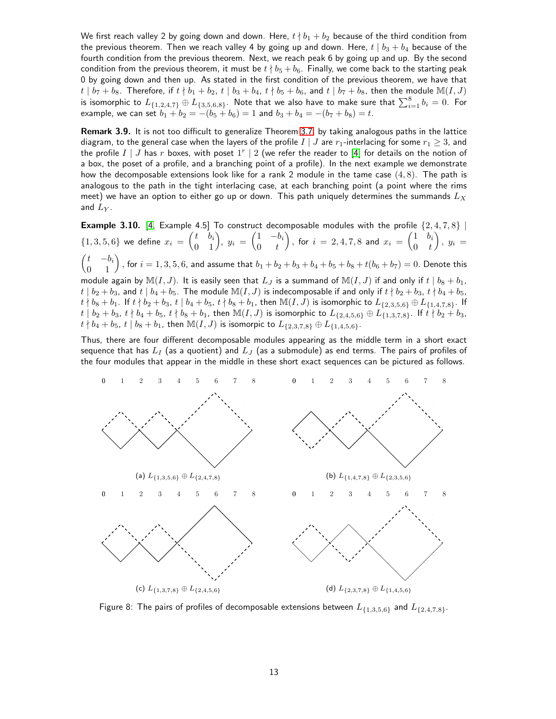We first reach valley 2 by going down and down. Here,  $t \nmid b_1 + b_2$  because of the third condition from the previous theorem. Then we reach valley 4 by going up and down. Here,  $t | b_3 + b_4$  because of the fourth condition from the previous theorem. Next, we reach peak 6 by going up and up. By the second condition from the previous theorem, it must be  $t \nmid b_5 + b_6$ . Finally, we come back to the starting peak 0 by going down and then up. As stated in the first condition of the previous theorem, we have that  $t | b_7 + b_8$ . Therefore, if  $t | b_1 + b_2$ ,  $t | b_3 + b_4$ ,  $t | b_5 + b_6$ , and  $t | b_7 + b_8$ , then the module  $\mathbb{M}(I, J)$ is isomorphic to  $L_{\{1,2,4,7\}}\oplus L_{\{3,5,6,8\}}.$  Note that we also have to make sure that  $\sum_{i=1}^8b_i=0.$  For example, we can set  $b_1 + b_2 = -(b_5 + b_6) = 1$  and  $b_3 + b_4 = -(b_7 + b_8) = t$ .

Remark 3.9. It is not too difficult to generalize Theorem [3.7,](#page-10-0) by taking analogous paths in the lattice diagram, to the general case when the layers of the profile  $I \mid J$  are  $r_1$ -interlacing for some  $r_1 \geq 3$ , and the profile  $I \mid J$  has  $r$  boxes, with poset  $1^r \mid 2$  (we refer the reader to [\[4\]](#page-13-3) for details on the notion of a box, the poset of a profile, and a branching point of a profile). In the next example we demonstrate how the decomposable extensions look like for a rank 2 module in the tame case  $(4, 8)$ . The path is analogous to the path in the tight interlacing case, at each branching point (a point where the rims meet) we have an option to either go up or down. This path uniquely determines the summands  $L_X$ and  $L_Y$ .

**Example 3.10.** [\[4,](#page-13-3) Example 4.5] To construct decomposable modules with the profile  $\{2, 4, 7, 8\}$  |  $\{1,3,5,6\}$  we define  $x_i = \begin{pmatrix} t & b_i \ 0 & 1 \end{pmatrix}$ ,  $y_i = \begin{pmatrix} 1 & -b_i \ 0 & t \end{pmatrix}$  $0 \quad t$ ), for  $i = 2, 4, 7, 8$  and  $x_i = \begin{pmatrix} 1 & b_i \\ 0 & t_i \end{pmatrix}$  $0 \quad t$  $\Big), y_i =$  $\begin{pmatrix} t & -b_i \ 0 & 1 \end{pmatrix}$ , for  $i=1,3,5,6$ , and assume that  $b_1+b_2+b_3+b_4+b_5+b_8+t(b_6+b_7)=0$ . Denote this module again by  $\mathbb{M}(I, J)$ . It is easily seen that  $L_J$  is a summand of  $\mathbb{M}(I, J)$  if and only if  $t | b_8 + b_1$ , t |  $b_2 + b_3$ , and t |  $b_4 + b_5$ . The module  $\mathbb{M}(I, J)$  is indecomposable if and only if  $t \nmid b_2 + b_3$ ,  $t \nmid b_4 + b_5$ ,  $t \nmid b_8 + b_1$ . If  $t \nmid b_2 + b_3$ ,  $t \mid b_4 + b_5$ ,  $t \nmid b_8 + b_1$ , then  $\mathbb{M}(I, J)$  is isomorphic to  $L_{\{2,3,5,6\}} \oplus L_{\{1,4,7,8\}}$ . If  $t | b_2 + b_3, t | b_4 + b_5, t | b_8 + b_1$ , then  $\mathbb{M}(I, J)$  is isomorphic to  $L_{\{2,4,5,6\}} \oplus L_{\{1,3,7,8\}}$ . If  $t | b_2 + b_3$ ,  $t \nmid b_4 + b_5, t \mid b_8 + b_1$ , then  $\mathbb{M}(I, J)$  is isomorpic to  $L_{\{2,3,7,8\}} \oplus L_{\{1,4,5,6\}}$ .

Thus, there are four different decomposable modules appearing as the middle term in a short exact sequence that has  $L_I$  (as a quotient) and  $L_J$  (as a submodule) as end terms. The pairs of profiles of the four modules that appear in the middle in these short exact sequences can be pictured as follows.



Figure 8: The pairs of profiles of decomposable extensions between  $L_{\{1,3,5,6\}}$  and  $L_{\{2,4,7,8\}}$ .